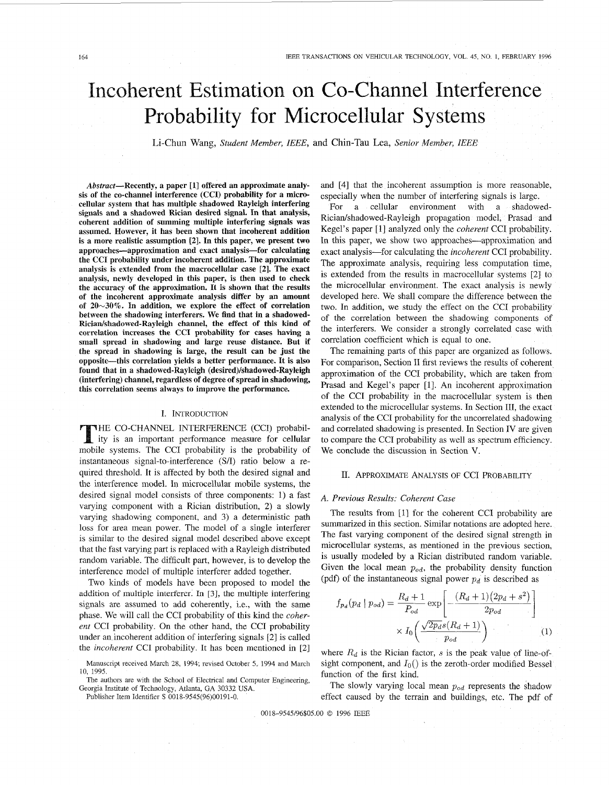# <span id="page-0-0"></span>Incoherent Estimation on Co-Channel Interference Probability for Microcellular Systems

Li-Chun Wang, *Student Member, IEEE,* and Chin-Tau Lea, *Senior Member, IEEE* 

Abstract-Recently, a paper **[I]** offered an approximate analy**sis** of the co-channel interference (CCI) probability for a microcellular system that has multiple shadowed Rayleigh interfering signals and a shadowed Rician desired signal. In that analysis, coherent addition of summing multiple interfering signals was assumed. However, it has been shown that incoherent addition is a more realistic assumption **[2].** In this paper, we present two approaches-approximation and exact analysis-for calculating the CCI probability under incoherent addition. The approximate analysis **is** extended from the macrocellular case **[2].** The exact analysis, newly developed in this paper, is then used to check the accuracy of the approximation. It **is** shown that the results of the incoherent approximate analysis differ by an amount of **20~30%.** In addition, we explore the effect of correlation between the shadowing interferers. We find that in a shadowed-Rician/shadowed-Rayleigh channel, the effect of this kind of correlation increases the CCI probability for cases having a small spread in shadowing and large reuse distance. But if the spread in shadowing is large, the result can be just the opposite-this correlation yields a better performance. It is also found that in a shadowed-Rayleigh **(desired)/shadowed-Rayleigh**  (interfering) channel, regardless of degree of spread in shadowing, this correlation seems always to improve the performance.

#### I. INTRODUCTION

THE CO-CHANNEL INTERFERENCE (CCI) probability is an important performance measure for cellular mobile systems. The CCI probability is the probability of instantaneous signal-to-interference (SA) ratio below a required threshold. It is affected by both the desired signal and the interference model. In microcellular mobile systems, the desired signal model consists of three components: 1) a fast varying component with a Rician distribution, 2) a slowly varying shadowing component, and 3) a deterministic path loss for area mean power. The model of a single interferer is similar to the desired signal model described above except that the fast varying part is replaced with a Rayleigh distributed random variable. The difficult part, however, is to develop the interference model of multiple interferer added together.

Two kinds of models have been proposed to model the addition of multiple interferer. In *[3],* the multiple interfering signals are assumed to add coherently, i.e., with the same phase. We will call the CCI probability of this kind the *coherent* CCI probability. On the other hand, the CCI probability under an incoherent addition of interfering signals [2] is called the *incoherent* CCI probability. It has been mentioned in [2]

The authors are with the School of Electrical and Computer Engineering, Georgia Institute of Technology, Atlanta, GA 30332 USA.

Publisher Item Identifier S 0018-9545(96)00191-0.

and [4] that the incoherent assumption is more reasonable, especially when the number of interfering signals is large.

For a cellular environment with a shadowed-Rician/shadowed-Rayleigh propagation model, Prasad and Kegel's paper [ 11 analyzed only the *coherent* CCI probability. In this paper, we show two approaches—approximation and exact analysis-for calculating the *incoherent* CCI probability. The approximate analysis, requiring less computation time, is extended from the results in macrocellular systems [2] to the microcellular environment. The exact analysis is newly developed here. We shall compare the difference between the two. In addition, we study the effect on the CCI probability of the correlation between the shadowing components of the interferers. We consider a strongly correlated case with correlation coefficient which is equal to one.

The remaining parts of this paper are organized as follows. For comparison, Section I1 first reviews the results of coherent approximation of the CCI probability, which are taken from Prasad and Kegel's paper [I]. An incoherent approximation of the CCI probability in the macrocellular system is then extended to the microcellular systems. In Section 111, the exact analysis of the CCI probability for the uncorrelated shadowing and correlated shadowing is presented. In Section IV are given to compare the CCI probability as well as spectrum efficiency. We conclude the discussion in Section V.

## II. APPROXIMATE ANALYSIS OF CCI PROBABILITY

#### *A. Previous Results: Coherent Case*

The results from [l] for the coherent CCI probability are summarized in this section. Similar notations are adopted here. The fast varying component of the desired signal strength in microcellular systems, as mentioned in the previous section, is usually modeled by a Rician distributed random variable. Given the local mean  $p_{od}$ , the probability density function (pdf) of the instantaneous signal power  $p_d$  is described as

$$
f_{p_d}(p_d | p_{od}) = \frac{R_d + 1}{P_{od}} \exp\left[-\frac{(R_d + 1)(2p_d + s^2)}{2p_{od}}\right] \times I_0\left(\frac{\sqrt{2p_d}s(R_d + 1)}{p_{od}}\right)
$$
(1)

where  $R_d$  is the Rician factor,  $s$  is the peak value of line-ofsight component, and *lo()* is the zeroth-order modified Bessel function of the first kind.

The slowly varying local mean *pod* represents the shadow effect caused by the terrain and buildings, etc. The pdf of

0018-9545/96\$05.00 *0* 1996 IEEE

Manuscript received March 28, 1994; revised October 5, 1994 and March 10, 1995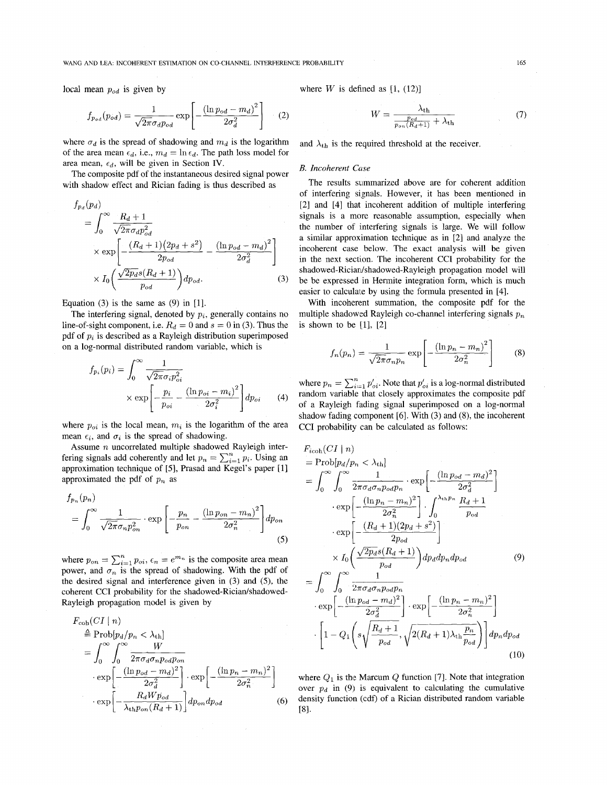#### WANG AND LEA: INCOHERENT ESTIMATION ON CO-CHANNEL INTERFERENCE PROBABILITY 165

local mean *pod* is given by

$$
f_{p_{od}}(p_{od}) = \frac{1}{\sqrt{2\pi}\sigma_d p_{od}} \exp\left[-\frac{(\ln p_{od} - m_d)^2}{2\sigma_d^2}\right] \quad (2)
$$

where  $\sigma_d$  is the spread of shadowing and  $m_d$  is the logarithm of the area mean  $\epsilon_d$ , i.e.,  $m_d = \ln \epsilon_d$ . The path loss model for area mean,  $\epsilon_d$ , will be given in Section IV.

The composite pdf of the instantaneous desired signal power with shadow effect and Rician fading is thus described as

$$
f_{p_d}(p_d)
$$
  
= 
$$
\int_0^\infty \frac{R_d + 1}{\sqrt{2\pi} \sigma_d p_{od}^2}
$$
  

$$
\times \exp\left[-\frac{(R_d + 1)(2p_d + s^2)}{2p_{od}} - \frac{(\ln p_{od} - m_d)^2}{2\sigma_d^2}\right]
$$
  

$$
\times I_0 \left(\frac{\sqrt{2p_d} s(R_d + 1)}{p_{od}}\right) dp_{od}.
$$
 (3)

Equation  $(3)$  is the same as  $(9)$  in  $[1]$ .

The interfering signal, denoted by *pi,* generally contains no line-of-sight component, i.e.  $R_d = 0$  and  $s = 0$  in (3). Thus the pdf of *pi* is described as a Rayleigh distribution superimposed on a log-normal distributed random variable, which is

$$
f_{p_i}(p_i) = \int_0^\infty \frac{1}{\sqrt{2\pi}\sigma_i p_{oi}^2}
$$

$$
\times \exp\left[-\frac{p_i}{p_{oi}} - \frac{(\ln p_{oi} - m_i)^2}{2\sigma_i^2}\right] dp_{oi} \tag{4}
$$

where  $p_{oi}$  is the local mean,  $m_i$  is the logarithm of the area mean  $\epsilon_i$ , and  $\sigma_i$  is the spread of shadowing.

Assume *n* uncorrelated multiple shadowed Rayleigh interfering signals add coherently and let  $p_n = \sum_{i=1}^n p_i$ . Using an approximation technique of [5], Prasad and Kegel's paper [l] approximated the pdf of  $p_n$  as

$$
f_{p_n}(p_n) = \int_0^\infty \frac{1}{\sqrt{2\pi}\sigma_n p_{on}^2} \cdot \exp\left[-\frac{p_n}{p_{on}} - \frac{(\ln p_{on} - m_n)^2}{2\sigma_n^2}\right] dp_{on}
$$
\n(5)

where  $p_{on} = \sum_{i=1}^{n} p_{oi}$ ,  $\epsilon_n = e^{m_n}$  is the composite area mean power, and  $\sigma_n$  is the spread of shadowing. With the pdf of the desired signal and interference given in *(3)* and (5), the coherent CCI probability for the shadowed-Rician/shadowed-Rayleigh propagation model is given by

$$
F_{\text{coh}}(CI \mid n)
$$
\n
$$
\triangleq \text{Prob}[p_d/p_n < \lambda_{\text{th}}]
$$
\n
$$
= \int_0^\infty \int_0^\infty \frac{W}{2\pi \sigma_d \sigma_n p_{od} p_{on}}
$$
\n
$$
\cdot \exp\left[-\frac{(\ln p_{od} - m_d)^2}{2\sigma_d^2}\right] \cdot \exp\left[-\frac{(\ln p_n - m_n)^2}{2\sigma_n^2}\right]
$$
\n
$$
\cdot \exp\left[-\frac{R_d W p_{od}}{\lambda_{\text{th}} p_{on} (R_d + 1)}\right] dp_{on} dp_{od} \tag{6}
$$

where  $W$  is defined as  $[1, (12)]$ 

$$
W = \frac{\lambda_{\text{th}}}{\frac{p_{od}}{p_{on}(R_d+1)} + \lambda_{\text{th}}}
$$
(7)

and  $\lambda_{th}$  is the required threshold at the receiver.

#### *B. Incoherent* Case

The results summarized above are for coherent addition of interfering signals. However, it has been mentioned in [2] and [4] that incoherent addition of multiple interfering signals is a more reasonable assumption, especially when the number of interfering signals is large. We will follow a similar approximation technique as in [2] and analyze the incoherent case below. The exact analysis will be given in the next section. The incoherent CCI probability for the **shadowed-Riciardshadowed-Rayleigh** propagation model will be be expressed in Hermite integration form, which is much easier to calculate by using the formula presented in [4].

With incoherent summation, the composite pdf for the multiple shadowed Rayleigh co-channel interfering signals *p,*  is shown to be  $[1]$ ,  $[2]$ 

$$
f_n(p_n) = \frac{1}{\sqrt{2\pi}\sigma_n p_n} \exp\left[-\frac{(\ln p_n - m_n)^2}{2\sigma_n^2}\right] \tag{8}
$$

where  $p_n = \sum_{i=1}^n p'_{oi}$ . Note that  $p'_{oi}$  is a log-normal distributed random variable that closely approximates the composite pdf of a Rayleigh fading signal superimposed on a log-normal shadow fading component **[6].** With *(3)* and **(8),** the incoherent CCI probability can be calculated as follows:

$$
F_{icoh}(CI | n)
$$
\n
$$
= \text{Prob}[p_d/p_n < \lambda_{th}]
$$
\n
$$
= \int_0^\infty \int_0^\infty \frac{1}{2\pi \sigma_d \sigma_n p_d p_n} \cdot \exp\left[-\frac{(\ln p_{od} - m_d)^2}{2\sigma_d^2}\right]
$$
\n
$$
\cdot \exp\left[-\frac{(\ln p_n - m_n)^2}{2\sigma_n^2}\right] \cdot \int_0^{\lambda_{th} p_n} \frac{R_d + 1}{p_{od}}
$$
\n
$$
\cdot \exp\left[-\frac{(R_d + 1)(2p_d + s^2)}{2p_{od}}\right]
$$
\n
$$
\times I_0 \left(\frac{\sqrt{2p_d} s(R_d + 1)}{p_{od}}\right) dp_d dp_n dp_{od} \qquad (9)
$$
\n
$$
= \int_0^\infty \int_0^\infty \frac{1}{2\pi \sigma_d \sigma_n p_d p_n} \cdot \exp\left[-\frac{(\ln p_n - m_n)^2}{2\sigma_n^2}\right]
$$
\n
$$
\cdot \exp\left[-\frac{(\ln p_{od} - m_d)^2}{2\sigma_d^2}\right] \cdot \exp\left[-\frac{(\ln p_n - m_n)^2}{2\sigma_n^2}\right]
$$
\n
$$
\cdot \left[1 - Q_1 \left(s\sqrt{\frac{R_d + 1}{p_{od}}}, \sqrt{2(R_d + 1)\lambda_{th} \frac{p_n}{p_{od}}}\right)\right] dp_n dp_{od} \qquad (10)
$$

where  $Q_1$  is the Marcum  $Q$  function [7]. Note that integration over  $p_d$  in (9) is equivalent to calculating the cumulative density function (cdf) of a Rician distributed random variable  $[8]$ .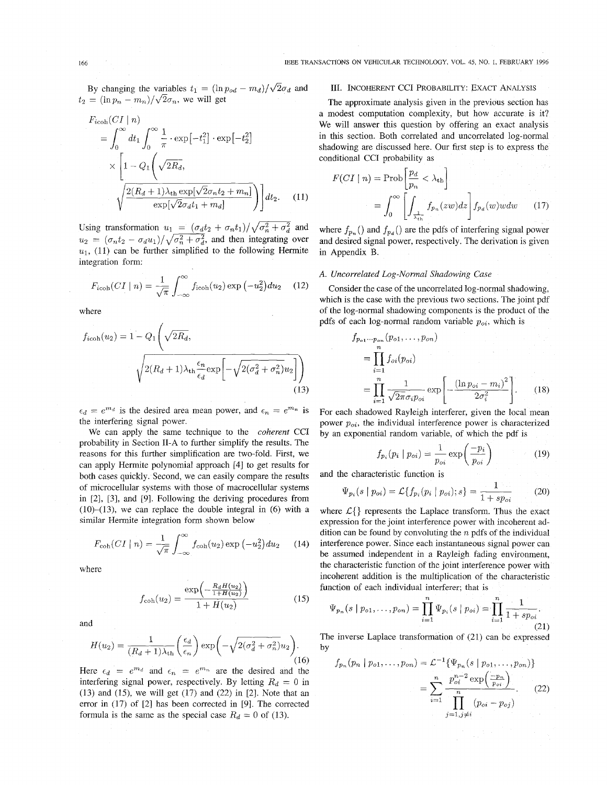By changing the variables  $t_1 = (\ln p_{od} - m_d)/\sqrt{2}\sigma_d$  and  $t_2 = (\ln p_n - m_n)/\sqrt{2}\sigma_n$ , we will get

$$
F_{\text{icoh}}(CI \mid n)
$$
  
= 
$$
\int_0^\infty dt_1 \int_0^\infty \frac{1}{\pi} \cdot \exp[-t_1^2] \cdot \exp[-t_2^2]
$$
  

$$
\times \left[1 - Q_1 \left(\sqrt{2R_d}, \frac{2(R_d + 1)\lambda_{\text{th}} \exp[\sqrt{2}\sigma_n t_2 + m_n]}{\exp[\sqrt{2}\sigma_d t_1 + m_d]}\right)\right] dt_2.
$$
 (11)

Using transformation  $u_1 = (\sigma_d t_2 + \sigma_n t_1)/\sqrt{\sigma_n^2 + \sigma_d^2}$  and  $u_2 = (\sigma_n t_2 - \sigma_d u_1)/\sqrt{\sigma_n^2 + \sigma_d^2}$ , and then integrating over  $u_1$ , (11) can be further simplified to the following Hermite integration form:

$$
F_{\text{icoh}}(CI \mid n) = \frac{1}{\sqrt{\pi}} \int_{-\infty}^{\infty} f_{\text{icoh}}(u_2) \exp\left(-u_2^2\right) du_2 \quad (12)
$$

where

$$
f_{\text{icoh}}(u_2) = 1 - Q_1 \left( \sqrt{2R_d}, \sqrt{\frac{2(R_d + 1)\lambda_{\text{th}} \frac{\epsilon_n}{\epsilon_d} \exp\left[ -\sqrt{2(\sigma_d^2 + \sigma_n^2)} u_2 \right]} \right)
$$
\n(13)

 $\epsilon_d = e^{m_d}$  is the desired area mean power, and  $\epsilon_n = e^{m_n}$  is the interfering signal power.

We can apply the same technique to the *coherent* CCI probability in Section 11-A to further simplify the results. The reasons for this further simplification are two-fold. First, we can apply Hermite polynomial approach [4] to get results for both cases quickly. Second, we can easily compare the results of microcellular systems with those of macrocellular systems in *[2], [3],* and [9]. Following the deriving procedures from  $(10)$ - $(13)$ , we can replace the double integral in  $(6)$  with a similar Hermite integration form shown below

$$
F_{\rm coh}(CI \mid n) = \frac{1}{\sqrt{\pi}} \int_{-\infty}^{\infty} f_{\rm coh}(u_2) \exp\left(-u_2^2\right) du_2 \qquad (14)
$$

where

$$
f_{\rm coh}(u_2) = \frac{\exp\left(-\frac{R_d H(u_2)}{1 + H(u_2)}\right)}{1 + H(u_2)}
$$
(15)

and

$$
H(u_2) = \frac{1}{(R_d+1)\lambda_{\rm th}} \left(\frac{\epsilon_d}{\epsilon_n}\right) \exp\left(-\sqrt{2(\sigma_d^2 + \sigma_n^2)}u_2\right).
$$
\n(16)

Here  $\epsilon_d = e^{m_d}$  and  $\epsilon_n = e^{m_n}$  are the desired and the interfering signal power, respectively. By letting  $R_d = 0$  in (13) and (15), we will get (17) and (22) in *[2].* Note that an error in (17) of [2] has been corrected in [9]. The corrected formula is the same as the special case  $R_d = 0$  of (13).

## 111. INCOHERENT CCI PROBABILITY: EXACT ANALYSIS

The approximate analysis given in the previous section has a modest computation complexity, but how accurate is it? We will answer this question by offering an exact analysis in this section. Both correlated and uncorrelated log-normal shadowing are discussed here. Our first step is to express the

conditional CCI probability as  
\n
$$
F(CI | n) = Prob \left[ \frac{p_d}{p_n} < \lambda_{\text{th}} \right]
$$
\n
$$
= \int_0^\infty \left[ \int_{\frac{1}{\lambda_{\text{th}}}} f_{p_n}(zw) dz \right] f_{p_d}(w) w dw \qquad (17)
$$

where  $f_{p_n}$  () and  $f_{p_d}$  () are the pdfs of interfering signal power and desired signal power, respectively. The derivation is given in Appendix B.

## *A. Uncorrelated Log-Normal Shadowing Case*

Consider the case of the uncorrelated log-normal shadowing, which is the case with the previous two sections. The joint pdf of the log-normal shadowing components is the product of the pdfs of each log-normal random variable  $p_{oi}$ , which is

$$
f_{p_{o1}\cdots p_{on}}(p_{o1},\ldots,p_{on})
$$
  
= 
$$
\prod_{i=1}^{n} f_{oi}(p_{oi})
$$
  
= 
$$
\prod_{i=1}^{n} \frac{1}{\sqrt{2\pi}\sigma_i p_{oi}} \exp\left[-\frac{(\ln p_{oi} - m_i)^2}{2\sigma_i^2}\right].
$$
 (18)

For each shadowed Rayleigh interferer, given the local mean power  $p_{oi}$ , the individual interference power is characterized

by an exponential random variable, of which the pdf is  
\n
$$
f_{p_i}(p_i \mid p_{oi}) = \frac{1}{p_{oi}} \exp\left(\frac{-p_i}{p_{oi}}\right)
$$
\n(19)

and the characteristic function is

$$
\Psi_{p_i}(s \mid p_{oi}) = \mathcal{L}\{f_{p_i}(p_i \mid p_{oi}); s\} = \frac{1}{1 + sp_{oi}} \tag{20}
$$

where  $\mathcal{L}\{\}$  represents the Laplace transform. Thus the exact expression for the joint interference power with incoherent addition can be found by convoluting the  $n$  pdfs of the individual interference power. Since each instantaneous signal power can be assumed independent in a Rayleigh fading environment, the characteristic function of the joint interference power with incoherent addition is the multiplication of the characteristic function of each individual interferer; that **is** 

$$
\Psi_{p_n}(s \mid p_{o1}, \dots, p_{on}) = \prod_{i=1}^n \Psi_{p_i}(s \mid p_{oi}) = \prod_{i=1}^n \frac{1}{1 + sp_{oi}}.
$$
\n(21)

The inverse Laplace transformation of (21) can be expressed by

$$
f_{p_n}(p_n | p_{o1},..., p_{on}) = \mathcal{L}^{-1}\{\Psi_{p_n}(s | p_{o1},..., p_{on})\}
$$

$$
= \sum_{i=1}^n \frac{p_{o_i}^{n_i - 2} \exp\left(\frac{-p_n}{p_{o_i}}\right)}{\prod_{j=1, j \neq i}^n (p_{oi} - p_{oj})}.
$$
(22)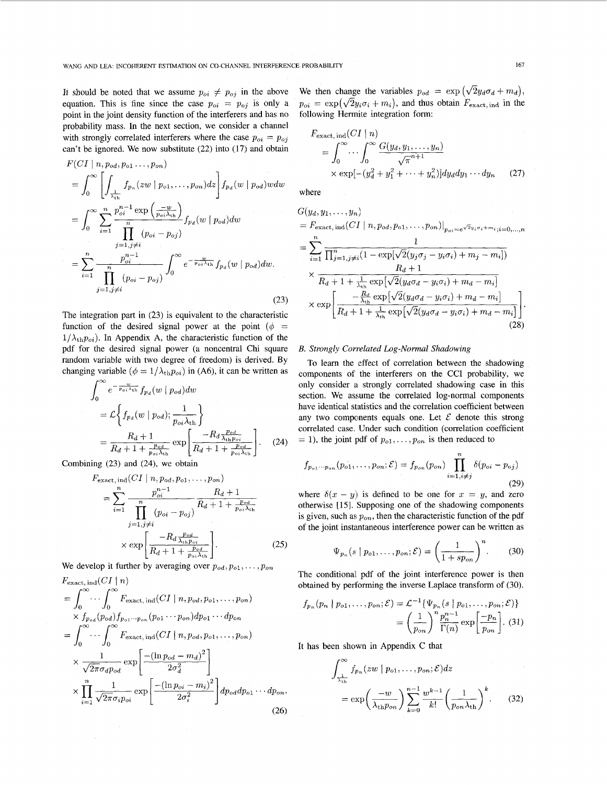It should be noted that we assume  $p_{oi} \neq p_{oj}$  in the above equation. This is fine since the case  $p_{oi} = p_{oj}$  is only a point in the joint density function of the interferers and has no probability mass. In the next section, we consider a channel with strongly correlated interferers where the case  $p_{oi} = p_{oj}$ can't be ignored. We now substitute (22) into (17) and obtain

$$
F(CI | n, p_{od}, p_{o1} \dots, p_{on})
$$
\n
$$
= \int_0^\infty \left[ \int_{\frac{1}{\lambda_{th}}} f_{p_n}(zw | p_{o1}, \dots, p_{on}) dz \right] f_{p_d}(w | p_{od}) w dw
$$
\n
$$
= \int_0^\infty \sum_{i=1}^n \frac{p_{oi}^{n-1} \exp\left(\frac{-w}{p_{oi}\lambda_{th}}\right)}{\prod_{j=1, j\neq i}^n (p_{oi} - p_{oj})} f_{p_d}(w | p_{od}) dw
$$
\n
$$
= \sum_{i=1}^n \frac{p_{oi}^{n-1}}{\prod_{j=1, j\neq i}^n (p_{oi} - p_{oj})} \int_0^\infty e^{-\frac{w}{p_{oi}\lambda_{th}}} f_{p_d}(w | p_{od}) dw.
$$
\n(23)

The integration part in (23) is equivalent to the characteristic function of the desired signal power at the point  $(\phi =$  $1/\lambda_{th}p_{oi}$ ). In Appendix A, the characteristic function of the pdf for the desired signal power (a noncentral Chi square random variable with two degree of freedom) is derived. By changing variable  $(\phi = 1/\lambda_{\text{th}}p_{oi})$  in (A6), it can be written as

$$
\int_0^\infty e^{-\frac{w}{p_{oi}\lambda_{th}}} f_{p_d}(w \mid p_{od}) dw
$$
\n
$$
= \mathcal{L} \left\{ f_{p_d}(w \mid p_{od}); \frac{1}{p_{oi}\lambda_{th}} \right\}
$$
\n
$$
= \frac{R_d + 1}{R_d + 1 + \frac{p_{od}}{p_{oi}\lambda_{th}}} \exp \left[ \frac{-R_d \frac{p_{od}}{\lambda_{th} p_{oi}}}{R_d + 1 + \frac{p_{od}}{p_{oi}\lambda_{th}}} \right].
$$
\n(24)

Combining (23) and (24), we obtain  $\sqrt{2}$ 

$$
F_{\text{exact, ind}}(CI \mid n, p_{od}, p_{o1}, \dots, p_{on})
$$
\n
$$
= \sum_{i=1}^{n} \frac{p_{oi}^{n-1}}{\prod_{j=1, j\neq i}^{n} (p_{oi} - p_{oj})} \frac{R_d + 1}{R_d + 1 + \frac{p_{od}}{p_{oi}\lambda_{th}}}
$$
\n
$$
\times \exp\left[\frac{-R_d \frac{p_{od}}{\lambda_{th} p_{oi}}}{R_d + 1 + \frac{p_{od}}{p_{oi}\lambda_{th}}}\right].
$$
\n(25)

We develop it further by averaging over  $p_{od}, p_{o1}, \ldots, p_{on}$ 

$$
F_{\text{exact, ind}}(CI | n)
$$
\n
$$
= \int_0^\infty \cdots \int_0^\infty F_{\text{exact, ind}}(CI | n, p_{od}, p_{o1}, \dots, p_{on})
$$
\n
$$
\times f_{p_{od}}(p_{od}) f_{p_{o1} \cdots p_{on}}(p_{o1} \cdots p_{on}) dp_{o1} \cdots dp_{on}
$$
\n
$$
= \int_0^\infty \cdots \int_0^\infty F_{\text{exact, ind}}(CI | n, p_{od}, p_{o1}, \dots, p_{on})
$$
\n
$$
\times \frac{1}{\sqrt{2\pi} \sigma_d p_{od}} \exp \left[ \frac{-(\ln p_{od} - m_d)^2}{2\sigma_d^2} \right]
$$
\n
$$
\times \prod_{i=1}^n \frac{1}{\sqrt{2\pi} \sigma_i p_{oi}} \exp \left[ \frac{-(\ln p_{oi} - m_i)^2}{2\sigma_i^2} \right] dp_{od} dp_{o1} \cdots dp_{on}.
$$
\n(26)

We then change the variables  $p_{od} = \exp(\sqrt{2}y_d\sigma_d + m_d)$ ,  $p_{oi} = \exp(\sqrt{2}y_i\sigma_i + m_i)$ , and thus obtain  $F_{\text{exact, ind}}$  in the following Hermite integration form:

$$
F_{\text{exact, ind}}(CI \mid n)
$$
\n
$$
= \int_0^\infty \cdots \int_0^\infty \frac{G(y_d, y_1, \dots, y_n)}{\sqrt{\pi}^{n+1}} \times \exp[-(y_d^2 + y_1^2 + \dots + y_n^2)] dy_d dy_1 \cdots dy_n \qquad (27)
$$

where

$$
G(y_d, y_1, \ldots, y_n)
$$
  
=  $F_{\text{exact, ind}}(CI \mid n, p_{od}, p_{o1}, \ldots, p_{on})|_{p_{oi} = e^{\sqrt{2}y_i \sigma_i + m_{i}}; i = 0, \ldots, n}$   
=  $\sum_{i=1}^{n} \frac{1}{\prod_{j=1, j\neq i}^{n} (1 - \exp[\sqrt{2}(y_j \sigma_j - y_i \sigma_i) + m_j - m_i])}$   
 $\times \frac{R_d + 1}{R_d + 1 + \frac{1}{\lambda_{\text{th}}} \exp[\sqrt{2}(y_d \sigma_d - y_i \sigma_i) + m_d - m_i]}$   
 $\times \exp\left[\frac{-\frac{R_d}{\lambda_{\text{th}}} \exp[\sqrt{2}(y_d \sigma_d - y_i \sigma_i) + m_d - m_i]}{R_d + 1 + \frac{1}{\lambda_{\text{th}}} \exp[\sqrt{2}(y_d \sigma_d - y_i \sigma_i) + m_d - m_i]}\right]$ (28)

#### *B. Strongly Correlated Log-Normal Shadowing*

To learn the effect of correlation between the shadowing components of the interferers on the CCI probability, we only consider a strongly correlated shadowing case in this section, We assume the correlated log-normal components have identical statistics and the correlation coefficient between any two components equals one. Let  $\mathcal E$  denote this strong correlated case. Under such condition (correlation coefficient  $=$  1), the joint pdf of  $p_{o1}, \ldots, p_{on}$  is then reduced to

$$
f_{p_{o1}\cdots p_{on}}(p_{o1},\ldots,p_{on};\mathcal{E})=f_{p_{on}}(p_{on})\prod_{i=1,i\neq j}^{n}\delta(p_{oi}-p_{oj})
$$
\n(29)

where  $\delta(x - y)$  is defined to be one for  $x = y$ , and zero otherwise [IS]. Supposing one of the shadowing components is given, such as  $p_{on}$ , then the characteristic function of the pdf of the joint instantaneous interference power can be written as

$$
\Psi_{p_n}(s \mid p_{o1}, \dots, p_{on}; \mathcal{E}) = \left(\frac{1}{1 + sp_{on}}\right)^n. \tag{30}
$$

The conditional pdf of the joint interference power is then obtained by performing the inverse Laplace transform of (30).

$$
f_{p_n}(p_n \mid p_{o1}, \dots, p_{on}; \mathcal{E}) = \mathcal{L}^{-1}\{\Psi_{p_n}(s \mid p_{o1}, \dots, p_{on}; \mathcal{E})\}
$$

$$
= \left(\frac{1}{p_{on}}\right)^n \frac{p_n^{n-1}}{\Gamma(n)} \exp\left[\frac{-p_n}{p_{on}}\right]. (31)
$$

It has been shown in Appendix *C* that

$$
\int_{\frac{1}{\lambda_{\text{th}}}}^{\infty} f_{p_n}(zw \mid p_{o1}, \dots, p_{on}; \mathcal{E}) dz
$$
\n
$$
= \exp\left(\frac{-w}{\lambda_{\text{th}} p_{on}}\right) \sum_{k=0}^{n-1} \frac{w^{k-1}}{k!} \left(\frac{1}{p_{on} \lambda_{\text{th}}}\right)^k.
$$
\n(32)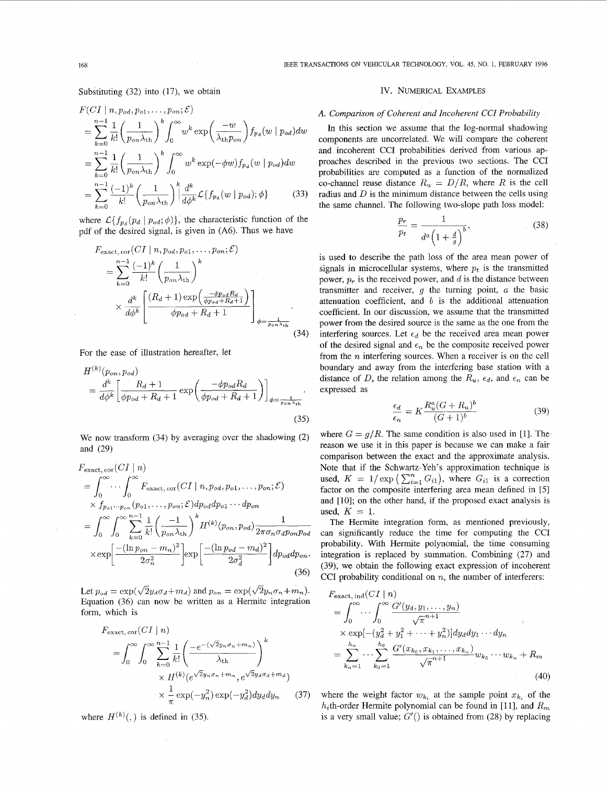168 IEEE TRANSACTIONS ON VEHICULAR TECHNOLOGY, VOL. 45, NO. 1, FEBRUARY 1996

Substituting  $(32)$  into  $(17)$ , we obtain

$$
F(Cl | n, p_{od}, p_{o1}, \dots, p_{on}; \mathcal{E})
$$
\n
$$
= \sum_{k=0}^{n-1} \frac{1}{k!} \left(\frac{1}{p_{on}\lambda_{th}}\right)^k \int_0^\infty w^k \exp\left(\frac{-w}{\lambda_{th}p_{on}}\right) f_{p_d}(w | p_{od}) dw
$$
\n
$$
= \sum_{k=0}^{n-1} \frac{1}{k!} \left(\frac{1}{p_{on}\lambda_{th}}\right)^k \int_0^\infty w^k \exp(-\phi w) f_{p_d}(w | p_{od}) dw
$$
\n
$$
= \sum_{k=0}^{n-1} \frac{(-1)^k}{k!} \left(\frac{1}{p_{on}\lambda_{th}}\right)^k \left|\frac{d^k}{d\phi^k} \mathcal{L}\{f_{p_d}(w | p_{od}); \phi\}
$$
\n(33)

where  $\mathcal{L}\lbrace f_{p_d}(p_d | p_{od}; \phi) \rbrace$ , the characteristic function of the pdf of the desired signal, is given in **(A6).** Thus we have

$$
F_{\text{exact, cor}}(CI \mid n, p_{od}, p_{o1}, \dots, p_{on}; \mathcal{E})
$$
\n
$$
= \sum_{k=0}^{n-1} \frac{(-1)^k}{k!} \left(\frac{1}{p_{on} \lambda_{\text{th}}}\right)^k
$$
\n
$$
\times \frac{d^k}{d\phi^k} \left[ \frac{(R_d + 1) \exp\left(\frac{-\phi p_{od} R_d}{\phi p_{od} + R_d + 1}\right)}{\phi p_{od} + R_d + 1} \right]_{\phi = \frac{1}{p_{on} \lambda_{\text{th}}}}
$$
\n(34)

For the ease of illustration hereafter, let

$$
H^{(k)}(p_{on}, p_{od})
$$
  
= 
$$
\frac{d^k}{d\phi^k} \left[ \frac{R_d + 1}{\phi p_{od} + R_d + 1} \exp\left(\frac{-\phi p_{od} R_d}{\phi p_{od} + R_d + 1}\right) \right]_{\phi = \frac{1}{p_{on} \lambda_{\text{th}}}}.
$$
  
(35)

We now transform  $(34)$  by averaging over the shadowing  $(2)$ and  $(29)$ 

$$
F_{\text{exact, cor}}(CI \mid n)
$$
\n
$$
= \int_{0}^{\infty} \cdots \int_{0}^{\infty} F_{\text{exact, cor}}(CI \mid n, p_{od}, p_{o1}, \dots, p_{on}; \mathcal{E})
$$
\n
$$
\times f_{p_{o1} \cdots p_{on}}(p_{o1}, \dots, p_{on}; \mathcal{E}) dp_{od} dp_{o1} \cdots dp_{on}
$$
\n
$$
= \int_{0}^{\infty} \int_{0}^{\infty} \sum_{k=0}^{n-1} \frac{1}{k!} \left( \frac{-1}{p_{on} \lambda_{th}} \right)^{k} H^{(k)}(p_{on}, p_{od}) \frac{1}{2\pi \sigma_{n} \sigma_{d} p_{on} p_{od}}
$$
\n
$$
\times \exp \left[ \frac{-(\ln p_{on} - m_{n})^{2}}{2\sigma_{n}^{2}} \right] \exp \left[ \frac{-(\ln p_{od} - m_{d})^{2}}{2\sigma_{d}^{2}} \right] dp_{od} dp_{on}.
$$
\n(36)

Let  $p_{od} = \exp(\sqrt{2}y_d\sigma_d+m_d)$  and  $p_{on} = \exp(\sqrt{2}y_n\sigma_n+m_n)$ . Equation (36) can now be written as a Hermite integration form, which is

$$
F_{\text{exact, cor}}(CI \mid n)
$$
\n
$$
= \int_0^\infty \int_0^\infty \sum_{k=0}^{n-1} \frac{1}{k!} \left( \frac{-e^{-(\sqrt{2}y_n \sigma_n + m_n)}}{\lambda_{\text{th}}} \right)^k
$$
\n
$$
\times H^{(k)}(e^{\sqrt{2}y_n \sigma_n + m_n}, e^{\sqrt{2}y_d \sigma_d + m_d})
$$
\n
$$
\times \frac{1}{\pi} \exp(-y_n^2) \exp(-y_d^2) dy_d dy_n \quad (37)
$$

where  $H^{(k)}(.)$  is defined in (35).

#### IV. NUMERICAL EXAMPLES

#### *A. Comparison of Coherent and Incoherent CCI Probability*

In this section we assume that the log-normal shadowing components are uncorrelated. We will compare the coherent and incoherent CCI probabilities derived from various approaches described in the previous two sections. The CCI probabilities are computed as a function of the normalized co-channel reuse distance  $R_u = D/R$ , where R is the cell radius and *D* is the minimum distance between the cells using the same channel. The following two-slope path loss model:

$$
\frac{p_r}{p_t} = \frac{1}{d^a \left(1 + \frac{d}{g}\right)^b},\tag{38}
$$

is used to describe the path loss of the area mean power of signals in microcellular systems, where  $p_t$  is the transmitted power,  $p_r$  is the received power, and  $d$  is the distance between transmitter and receiver, g the turning point, *a* the basic attenuation coefficient, and *b* is the additional attenuation coefficient. In our discussion, we assume that the transmitted power from the desired source is the same as the one from the interfering sources. Let  $\epsilon_d$  be the received area mean power of the desired signal and  $\epsilon_n$  be the composite received power from the *n* interfering sources. When a receiver is on the cell boundary and away from the interfering base station with a distance of D, the relation among the  $R_u$ ,  $\epsilon_d$ , and  $\epsilon_n$  can be expressed as

$$
\frac{\epsilon_d}{\epsilon_n} = K \frac{R_u^a (G + R_u)^b}{(G+1)^b} \tag{39}
$$

where  $G = g/R$ . The same condition is also used in [1]. The reason we use it in this paper is because we can make a fair comparison between the exact and the approximate analysis. Note that if the Schwartz-Yeh's approximation technique is used,  $K = 1/\exp\left(\sum_{i=1}^{n} G_{i1}\right)$ , where  $G_{i1}$  is a correction factor on the composite interfering area mean defined in [5] and [10]; on the other hand, if the proposed exact analysis is used,  $K = 1$ .

The Hermite integration form, as mentioned previously, can significantly reduce the time for computing the CCI probability. With Hermite polynomial, the time consuming integration is replaced by summation. Combining (27) and (39), we obtain the following exact expression of incoherent CCI probability conditional on *n,* the number of interferers:

$$
F_{\text{exact, ind}}(CI \mid n)
$$
\n
$$
= \int_{0}^{\infty} \cdots \int_{0}^{\infty} \frac{G'(y_d, y_1, \dots, y_n)}{\sqrt{\pi}^{n+1}} \times \exp[-(y_d^2 + y_1^2 + \dots + y_n^2)] dy_d dy_1 \dots dy_n
$$
\n
$$
= \sum_{k_n=1}^{h_n} \cdots \sum_{k_0=1}^{h_0} \frac{G'(x_{k_0}, x_{k_1}, \dots, x_{k_n})}{\sqrt{\pi}^{n+1}} w_{k_0} \dots w_{k_n} + R_m
$$
\n(40)

where the weight factor  $w_{k_i}$  at the sample point  $x_{k_i}$  of the  $h_i$ th-order Hermite polynomial can be found in [11], and  $R_m$ is a very small value;  $G'()$  is obtained from (28) by replacing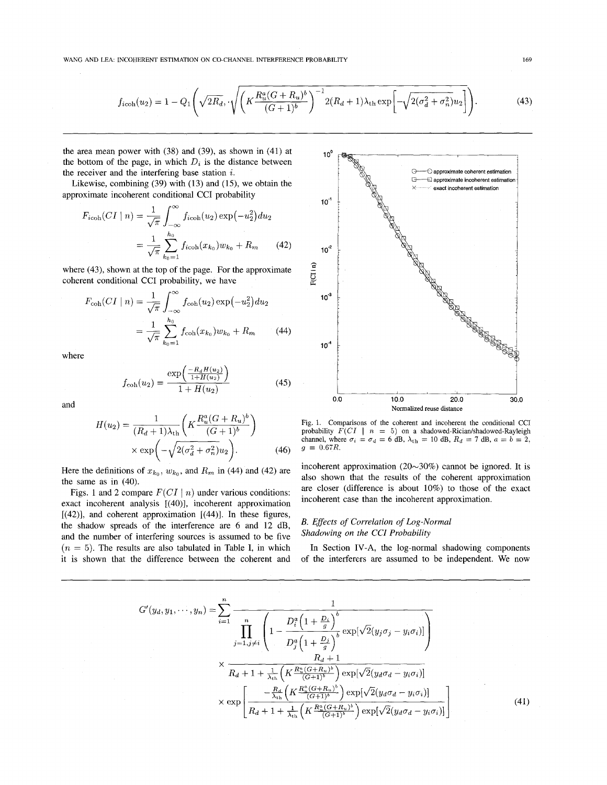$$
f_{\text{icoh}}(u_2) = 1 - Q_1 \left( \sqrt{2R_d}, \sqrt{\left( K \frac{R_u^a (G + R_u)^b}{(G + 1)^b} \right)^{-1} 2(R_d + 1) \lambda_{\text{th}} \exp \left[ -\sqrt{2(\sigma_d^2 + \sigma_n^2)} u_2 \right]} \right). \tag{43}
$$

the area mean power with (38) and (39), as shown in (41) at the bottom of the page, in which  $D_i$  is the distance between the receiver and the interfering base station  $i$ .

Likewise, combining (39) with (13) and (15), we obtain the approximate incoherent conditional CCI probability

rewise, combining (39) with (13) and (15), we obtain the  
\n**ximate incoherent conditional CCI probability**

\n
$$
F_{\text{icoh}}(CI \mid n) = \frac{1}{\sqrt{\pi}} \int_{-\infty}^{\infty} f_{\text{icoh}}(u_2) \exp\left(-u_2^2\right) du_2
$$
\n
$$
= \frac{1}{\sqrt{\pi}} \sum_{k_0=1}^{h_0} f_{\text{icoh}}(x_{k_0}) w_{k_0} + R_m \qquad (42)
$$

where (43), shown at the top of the page. For the approximate coherent conditional CCI probability, we have

(43), shown at the top of the page. For the approximate  
ent conditional CCI probability, we have  

$$
F_{\text{coh}}(CI | n) = \frac{1}{\sqrt{\pi}} \int_{-\infty}^{\infty} f_{\text{coh}}(u_2) \exp(-u_2^2) du_2
$$

$$
= \frac{1}{\sqrt{\pi}} \sum_{k_0=1}^{h_0} f_{\text{coh}}(x_{k_0}) w_{k_0} + R_m \qquad (44)
$$

where

$$
f_{\rm coh}(u_2) = \frac{\exp\left(\frac{-R_d H(u_2)}{1 + H(u_2)}\right)}{1 + H(u_2)}\tag{45}
$$

and

$$
H(u_2) = \frac{1}{(R_d+1)\lambda_{\rm th}} \left( K \frac{R_u^a (G+R_u)^b}{(G+1)^b} \right)
$$

$$
\times \exp \left( -\sqrt{2(\sigma_d^2 + \sigma_n^2)} u_2 \right).
$$
(46)

Here the definitions of  $x_{k_0}$ ,  $w_{k_0}$ , and  $R_m$  in (44) and (42) are the same as in (40).

Figs. 1 and 2 compare  $F(Cl | n)$  under various conditions: exact incoherent analysis [(40)], incoherent approximation  $[(42)]$ , and coherent approximation  $[(44)]$ . In these figures, the shadow spreads of the interference are 6 and 12 dB, and the number of interfering sources is assumed to be five  $(n = 5)$ . The results are also tabulated in Table I, in which it is shown that the difference between the coherent and



Fig. **1.** Comparisons of the coherent and incoherent the conditional CCI probability  $F(Cl \mid n = 5)$  on a shadowed-Rician/shadowed-Rayleigh channel, where  $\sigma_i = \sigma_d = 6$  dB,  $\lambda_{th} = 10$  dB,  $R_d = 7$  dB,  $a = b = 2$ ,  $g = 0.67R$ .

incoherent approximation  $(20~30\%)$  cannot be ignored. It is also shown that the results of the coherent approximation are closer (difference is about 10%) to those of the exact incoherent case than the incoherent approximation.

# *B. Effects of Correlation of Log-Normal Shadowing on ihe CCI Probability*

In Section IV-A, the log-normal shadowing components of the interferers are assumed to be independent. We now

$$
G'(y_d, y_1, \dots, y_n) = \sum_{i=1}^n \frac{1}{\prod_{j=1, j\neq i} \left(1 - \frac{D_i^a \left(1 + \frac{D_i}{g}\right)^b}{D_j^a \left(1 + \frac{D_j}{g}\right)^b} \exp[\sqrt{2}(y_j \sigma_j - y_i \sigma_i)]\right)}
$$
  
\$\times \frac{R\_d + 1}{R\_d + 1 + \frac{1}{\lambda\_{th}} \left(K \frac{R\_a^a (G + R\_u)^b}{(G + 1)^b}\right) \exp[\sqrt{2}(y\_d \sigma\_d - y\_i \sigma\_i)]\$  
\$\times \exp\left[\frac{-\frac{R\_d}{\lambda\_{th}} \left(K \frac{R\_a^a (G + R\_u)^b}{(G + 1)^b}\right) \exp[\sqrt{2}(y\_d \sigma\_d - y\_i \sigma\_i)]\right]\$  
\$\times \exp\left[\frac{-\frac{R\_d}{\lambda\_{th}} \left(K \frac{R\_a^a (G + R\_u)^b}{(G + 1)^b}\right) \exp[\sqrt{2}(y\_d \sigma\_d - y\_i \sigma\_i)]\right] \tag{41}\$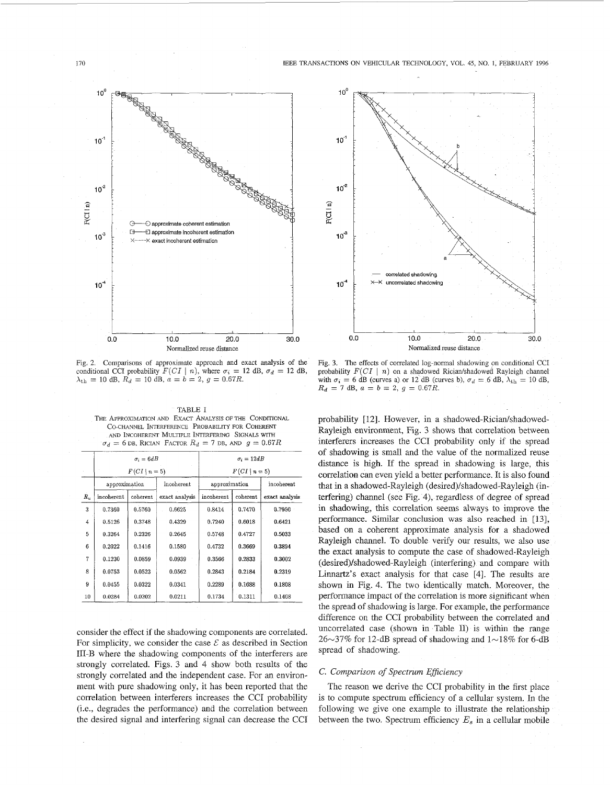

Fig. 2. Comparisons of approximate approach and exact analysis of the conditional CCI probability  $F(Cl \mid n)$ , where  $\sigma_i = 12$  dB,  $\sigma_d = 12$  dB,  $\lambda_{th} = 10$  dB,  $R_d = 10$  dB,  $a = b = 2$ ,  $g = 0.67R$ .

TABLE I THE APPROXIMATION AND EXACT ANALYSIS OF THE CONDITIONAL CO-CHANNEL INTERFERENCE PROBABILITY FOR COHERENT  $\sigma_d = 6$  DB, RICIAN FACTOR  $R_d = 7$  DB, AND  $g = 0.67R$ AND INCOHERENT MULTIPLE INTERFERING SIGNALS WITH

|                |                  | $\sigma_i = 6dB$ |                | $\sigma_i = 12dB$ |          |                |
|----------------|------------------|------------------|----------------|-------------------|----------|----------------|
|                | $F(Cl \mid n=5)$ |                  |                | $F(Cl \mid n=5)$  |          |                |
|                | approximation    |                  | incoherent     | approximation     |          | incoherent     |
| $R_u$          | incoherent       | coherent         | exact analysis | incoherent        | coherent | exact analysis |
| 3              | 0.7360           | 0.5760           | 0.6625         | 0.8414            | 0.7470   | 0.7950         |
| $\overline{4}$ | 0.5126           | 0.3748           | 0.4329         | 0.7240            | 0.6018   | 0.6421         |
| 5              | 0.3264           | 0.2326           | 0.2645         | 0.5748            | 0.4727   | 0.5033         |
| 6              | 0.2022           | 0.1416           | 0.1580         | 0.4732            | 0.3669   | 0.3894         |
| 7              | 0.1230           | 0.0859           | 0.0939         | 0.3566            | 0.2833   | 0.3002         |
| 8              | 0.0753           | 0.0523           | 0.0562         | 0.2843            | 0.2184   | 0.2319         |
| 9              | 0.0455           | 0.0322           | 0.0341         | 0.2289            | 0.1688   | 0.1808         |
| 10             | 0.0284           | 0.0202           | 0.0211         | 0.1734            | 0.1311   | 0.1408         |

consider the effect if the shadowing components are correlated. For simplicity, we consider the case  $\mathcal E$  as described in Section 111-B where the shadowing components of the interferers are strongly correlated. Figs. 3 and 4 show both results of the strongly correlated and the independent case. For **an** environment with pure shadowing only, it has been reported that the correlation between interferers increases the CCI probability (i.e., degrades the performance) and the correlation between the desired signal and interfering signal can decrease the CCI



Fig. **3.** The effects of correlated log-normal shadowing on conditional CCI probability  $F(CI \mid n)$  on a shadowed Rician/shadowed Rayleigh channel with  $\sigma_i = 6$  dB (curves a) or 12 dB (curves b),  $\sigma_d = 6$  dB,  $\lambda_{\text{th}} = 10$  dB,  $R_d = 7$  dB,  $a = b = 2$ ,  $g = 0.67R$ .

probability [12]. However, in a shadowed-Rician/shadowed-Rayleigh environment, Fig. 3 shows that correlation between interferers increases the CCI probability only if the spread of shadowing is small and the value of the normalized reuse distance is high. If the spread in shadowing is large, this correlation can even yield a better performance. It is also found that in a shadowed-Rayleigh (desired)/shadowed-Rayleigh (interfering) channel (see Fig. 4), regardless of degree of spread in shadowing, this correlation seems always to improve the performance. Similar conclusion was also reached in [13], based on a coherent approximate analysis for a shadowed Rayleigh channel. To double verify our results, we also use the exact analysis to compute the case of shadowed-Rayleigh (desired)/shadowed-Rayleigh (interfering) and compare with Linnartz's exact analysis for that case [4]. The results are shown **in** [Fig. 4.](#page-7-0) The two identically match. Moreover, the performance impact of the correlation is more significant when the spread of shadowing is large. For example, the performance difference on the CCI probability between the correlated and uncorrelated case (shown in Table II) is within the range  $26~37\%$  for 12-dB spread of shadowing and  $1~18\%$  for 6-dB spread of shadowing.

#### C. *Comparison of Spectrum Eficiency*

The reason we derive the CCI probability in the first place is to compute spectrum efficiency of a cellular system. In the following we give one example to illustrate the relationship between the two. Spectrum efficiency *E,* in a cellular mobile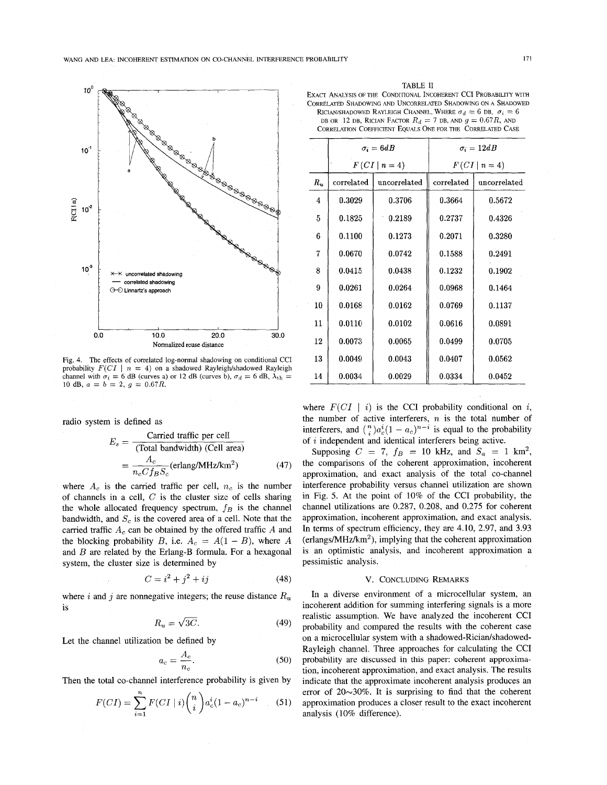<span id="page-7-0"></span>

Fig. **4.** The effects of correlated log-normal shadowing on conditional CCI probability  $F(Cl \mid n = 4)$  on a shadowed Rayleigh/shadowed Rayleigh channel with  $\sigma_i = 6$  dB (curves a) or 12 dB (curves b),  $\sigma_d = 6$  dB,  $\lambda_{\text{th}} =$ 10 dB,  $a = b = 2, g = 0.67R$ .

radio system is defined as

$$
E_s = \frac{\text{Carried traffic per cell}}{(\text{Total bandwidth}) (\text{Cell area})}
$$

$$
= \frac{A_c}{n_c C f_B S_c} (\text{erlang/MHz/km}^2) \tag{47}
$$

where  $A_c$  is the carried traffic per cell,  $n_c$  is the number of channels in a cell, *C* is the cluster size of cells sharing the whole allocated frequency spectrum,  $f_B$  is the channel bandwidth, and *S,* is the covered area of a cell. Note that the carried traffic *A,* can be obtained by the offered traffic *A* and the blocking probability *B*, i.e.  $A_c = A(1 - B)$ , where *A* and *B* are related by the Erlang-B formula. For a hexagonal system, the cluster size is determined by

$$
C = i^2 + j^2 + ij \tag{48}
$$

where  $i$  and  $j$  are nonnegative integers; the reuse distance  $R_u$ is

$$
R_u = \sqrt{3C}.\tag{49}
$$

Let the channel utilization be defined by

$$
a_c = \frac{A_c}{n_c}.\tag{50}
$$

Then the total co-channel interference probability is given by  
\n
$$
F(Cl) = \sum_{i=1}^{n} F(Cl \mid i) {n \choose i} a_c^i (1 - a_c)^{n-i}
$$
\n(51)

| TARLE II.                                                                 |
|---------------------------------------------------------------------------|
| EXACT ANALYSIS OF THE CONDITIONAL INCOHERENT CCI PROBABILITY WITH         |
| CORRELATED SHADOWING AND UNCORRELATED SHADOWING ON A SHADOWED             |
| RICIAN/SHADOWED RAYLEIGH CHANNEL, WHERE $\sigma_d = 6$ DB, $\sigma_i = 6$ |
| DB OR 12 DB, RICIAN FACTOR $R_d = 7$ DB, AND $q = 0.67R$ , AND            |
| CORRELATION COEFFICIENT EQUALS ONE FOR THE CORRELATED CASE                |

| CORRELATION COEFFICIENT EQUALS ONE FOR THE CORRELATED CASE |            |                  |                   |              |  |  |  |  |
|------------------------------------------------------------|------------|------------------|-------------------|--------------|--|--|--|--|
|                                                            |            | $\sigma_i = 6dB$ | $\sigma_i = 12dB$ |              |  |  |  |  |
|                                                            |            | $F(CI \mid n=4)$ | $F(Cl \mid n=4)$  |              |  |  |  |  |
| $R_u$                                                      | correlated | uncorrelated     | correlated        | uncorrelated |  |  |  |  |
| 4                                                          | 0.3029     | 0.3706           | 0.3664            | 0.5672       |  |  |  |  |
| 5                                                          | 0.1825     | 0.2189           | 0.2737            | 0.4326       |  |  |  |  |
| 6                                                          | 0.1100     | 0.1273           | 0.2071            | 0.3280       |  |  |  |  |
| 7                                                          | 0.0670     | 0.0742           | 0.1588            | 0.2491       |  |  |  |  |
| 8                                                          | 0.0415     | 0.0438           | 0.1232            | 0.1902       |  |  |  |  |
| 9                                                          | 0.0261     | 0.0264           | 0.0968            | 0.1464       |  |  |  |  |
| 10                                                         | 0.0168     | 0.0162           | 0.0769            | 0.1137       |  |  |  |  |
| 11                                                         | 0.0110     | 0.0102           | 0.0616            | 0.0891       |  |  |  |  |
| 12                                                         | 0.0073     | 0.0065           | 0.0499            | 0.0705       |  |  |  |  |
| 13                                                         | 0.0049     | 0.0043           | 0.0407            | 0.0562       |  |  |  |  |
| 14                                                         | 0.0034     | 0.0029           | 0.0334            | 0.0452       |  |  |  |  |
|                                                            |            |                  |                   |              |  |  |  |  |

where  $F(Cl \mid i)$  is the CCI probability conditional on *i*, the number of active interferers, *n* is the total number of interferers, and  $\binom{n}{i}a_c^i(1 - a_c)^{n-i}$  is equal to the probability of *i* independent and identical interferers being active.

Supposing  $C = 7$ ,  $f_B = 10$  kHz, and  $S_a = 1$  km<sup>2</sup>, the comparisons of the coherent approximation, incoherent approximation, and exact analysis of the total co-channel interference probability versus channel utilization are shown in [Fig.](#page-8-0) *5.* At the point of 10% of the CCI probability, the channel utilizations are 0.287, 0.208, and 0.275 for coherent approximation, incoherent approximation, and exact analysis. In terms of spectrum efficiency, they are 4.10, 2.97, and 3.93  $(erlangs/MHz/km<sup>2</sup>)$ , implying that the coherent approximation is an optimistic analysis, and incoherent approximation a pessimistic analysis.

## V. CONCLUDING REMARKS

In a diverse environment of a microcellular system, an incoherent addition for summing interfering signals is a more realistic assumption. We have analyzed the incoherent CCI probability and compared the results with the coherent case on a microcellular system with a shadowed-Rician/shadowed-Rayleigh channel. Three approaches for calculating the CCI probability are discussed in this paper: coherent **approxima**tion, incoherent approximation, and exact analysis. The results indicate that the approximate incoherent analysis produces an error of *20~30%.* It is surprising to find that the coherent approximation produces a closer result to the exact incoherent analysis (10% difference).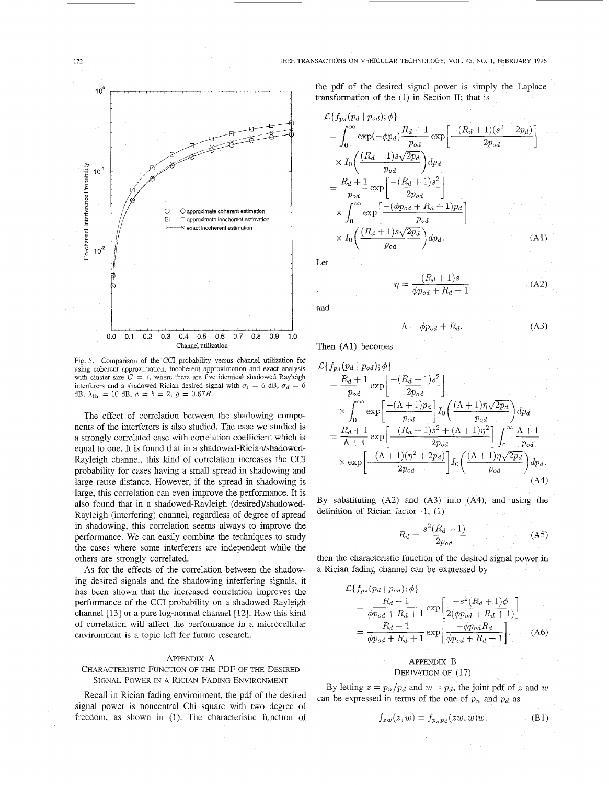<span id="page-8-0"></span>

Fig. 5. Comparison of the CCI probability versus channel utilization for using coherent approximation, incoherent approximation and exact analysis with cluster size  $C = 7$ , where there are five identical shadowed Rayleigh interferers and a shadowed Rician desired signal with  $\sigma_i = 6$  dB,  $\sigma_d = 6$ dB,  $\lambda_{\text{th}} = 10$  dB,  $a = b = 2$ ,  $g = 0.67R$ .

The effect of correlation between the shadowing components of the interferers is also studied. The case we studied is a strongly correlated case with correlation coefficient which is equal to one. It is found that in a shadowed-Rician/shadowed-Rayleigh channel, this kind of correlation increases the CCI probability for cases having a small spread in shadowing and large reuse distance. However, if the spread in shadowing is large, this correlation can even improve the performance. It is also found that in a shadowed-Rayleigh (desired)/shadowed-Rayleigh (interfering) channel, regardless of degree of spread in shadowing, this correlation seems always to improve the performance. We can easily combine the techniques to study the cases where some interferers are independent while the others are strongly correlated.

As for the effects of the correlation between the shadowing desired signals and the shadowing interfering signals, it has been shown that the increased correlation improves **the**  performance of the CCI probability on a shadowed Rayleigh channel [13] or a pure log-normal channel [12]. How this kind of correlation will affect the performance in a microcellular environment is a topic left for future research.

#### APPENDIX A

# CHARACTERISTIC FUNCTION OF THE PDF OF THE DESIRED SIGNAL POWER IN **A** RICIAN FADING ENVIRONMENT

Recall in Rician fading environment, the pdf of the desired signal power is noncentral Chi square with two degree of freedom, as shown in (1). The characteristic function of

$$
\mathcal{L}\left\{f_{p_d}(p_d \mid p_{od});\phi\right\}
$$
\n
$$
= \int_0^\infty \exp(-\phi p_d) \frac{R_d + 1}{p_{od}} \exp\left[\frac{-(R_d + 1)(s^2 + 2p_d)}{2p_{od}}\right]
$$
\n
$$
\times I_0 \left(\frac{(R_d + 1)s\sqrt{2p_d}}{p_{od}}\right) dp_d
$$
\n
$$
= \frac{R_d + 1}{p_{od}} \exp\left[\frac{-(R_d + 1)s^2}{2p_{od}}\right]
$$
\n
$$
\times \int_0^\infty \exp\left[\frac{-(\phi p_{od} + R_d + 1)p_d}{p_{od}}\right]
$$
\n
$$
\times I_0 \left(\frac{(R_d + 1)s\sqrt{2p_d}}{p_{od}}\right) dp_d.
$$
\n(A1)

Let

$$
\eta = \frac{(R_d + 1)s}{\phi p_{od} + R_d + 1} \tag{A2}
$$

and

$$
\Lambda = \phi p_{od} + R_d. \tag{A3}
$$

Then (A1) becomes

$$
\mathcal{L}\lbrace f_{p_d}(p_d | p_{od}); \phi \rbrace
$$
\n
$$
= \frac{R_d + 1}{p_{od}} \exp\left[\frac{-(R_d + 1)s^2}{2p_{od}}\right]
$$
\n
$$
\times \int_0^\infty \exp\left[\frac{-(\Lambda + 1)p_d}{p_{od}}\right] I_0 \left(\frac{(\Lambda + 1)\eta \sqrt{2p_d}}{p_{od}}\right) dp_d
$$
\n
$$
= \frac{R_d + 1}{\Lambda + 1} \exp\left[\frac{-(R_d + 1)s^2 + (\Lambda + 1)\eta^2}{2p_{od}}\right] \int_0^\infty \frac{\Lambda + 1}{p_{od}}
$$
\n
$$
\times \exp\left[\frac{-(\Lambda + 1)(\eta^2 + 2p_d)}{2p_{od}}\right] I_0 \left(\frac{(\Lambda + 1)\eta \sqrt{2p_d}}{p_{od}}\right) dp_d.
$$
\n(A4)

By substituting  $(A2)$  and  $(A3)$  into  $(A4)$ , and using the definition of Rician factor  $[1, (1)]$ 

$$
R_d = \frac{s^2 (R_d + 1)}{2p_{od}} \tag{A5}
$$

then the characteristic function of the desired signal power in a Rician fading channel can be expressed by

$$
\mathcal{L}\lbrace f_{p_d}(p_d | p_{od}); \phi \rbrace
$$
\n
$$
= \frac{R_d + 1}{\phi p_{od} + R_d + 1} \exp\left[\frac{-s^2 (R_d + 1)\phi}{2(\phi p_{od} + R_d + 1)}\right]
$$
\n
$$
= \frac{R_d + 1}{\phi p_{od} + R_d + 1} \exp\left[\frac{-\phi p_{od} R_d}{\phi p_{od} + R_d + 1}\right].
$$
\n(A6)

## APPENDIX B DERIVATION OF (17)

By letting  $z = p_n/p_d$  and  $w = p_d$ , the joint pdf of *z* and *w* can be expressed in terms of the one of  $p_n$  and  $p_d$  as

$$
f_{zw}(z,w) = f_{p_np_d}(zw,w)w.
$$
 (B1)